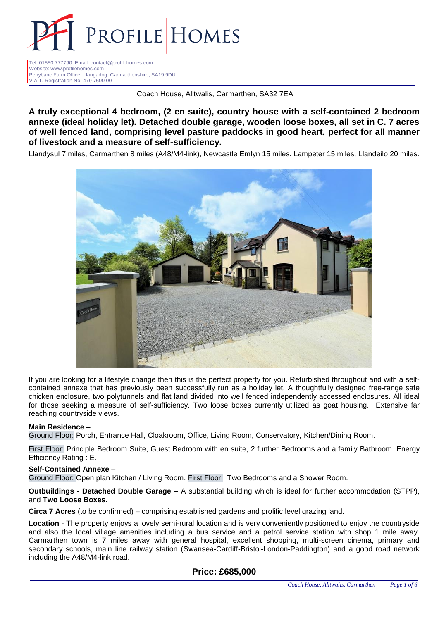

Tel: 01550 777790 Email: contact@profilehomes.com Website: www.profilehomes.com Penybanc Farm Office, Llangadog, Carmarthenshire, SA19 9DU V.A.T. Registration No: 479 7600 00

Coach House, Alltwalis, Carmarthen, SA32 7EA

**A truly exceptional 4 bedroom, (2 en suite), country house with a self-contained 2 bedroom annexe (ideal holiday let). Detached double garage, wooden loose boxes, all set in C. 7 acres of well fenced land, comprising level pasture paddocks in good heart, perfect for all manner of livestock and a measure of self-sufficiency.** 

Llandysul 7 miles, Carmarthen 8 miles (A48/M4-link), Newcastle Emlyn 15 miles. Lampeter 15 miles, Llandeilo 20 miles.



If you are looking for a lifestyle change then this is the perfect property for you. Refurbished throughout and with a selfcontained annexe that has previously been successfully run as a holiday let. A thoughtfully designed free-range safe chicken enclosure, two polytunnels and flat land divided into well fenced independently accessed enclosures. All ideal for those seeking a measure of self-sufficiency. Two loose boxes currently utilized as goat housing. Extensive far reaching countryside views.

## **Main Residence** –

Ground Floor: Porch, Entrance Hall, Cloakroom, Office, Living Room, Conservatory, Kitchen/Dining Room.

First Floor: Principle Bedroom Suite, Guest Bedroom with en suite, 2 further Bedrooms and a family Bathroom. Energy Efficiency Rating : E.

#### **Self-Contained Annexe** –

Ground Floor: Open plan Kitchen / Living Room. First Floor: Two Bedrooms and a Shower Room.

### **Outbuildings - Detached Double Garage** – A substantial building which is ideal for further accommodation (STPP), and **Two Loose Boxes.**

**Circa 7 Acres** (to be confirmed) – comprising established gardens and prolific level grazing land.

**Location** - The property enjoys a lovely semi-rural location and is very conveniently positioned to enjoy the countryside and also the local village amenities including a bus service and a petrol service station with shop 1 mile away. Carmarthen town is 7 miles away with general hospital, excellent shopping, multi-screen cinema, primary and secondary schools, main line railway station (Swansea-Cardiff-Bristol-London-Paddington) and a good road network including the A48/M4-link road.

## **Price: £685,000**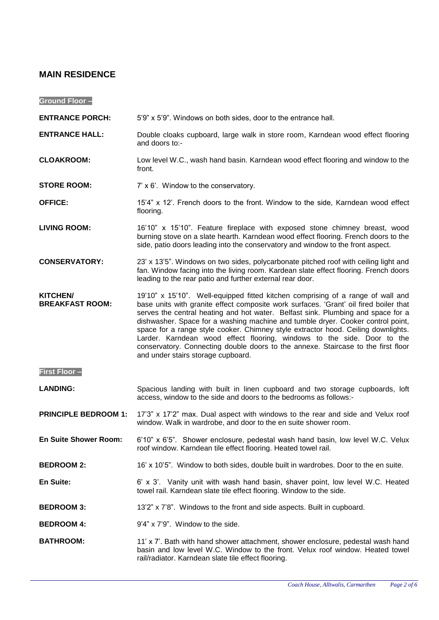## **MAIN RESIDENCE**

**Ground Floor –**

**ENTRANCE PORCH:** 5'9" x 5'9". Windows on both sides, door to the entrance hall.

- **ENTRANCE HALL:** Double cloaks cupboard, large walk in store room, Karndean wood effect flooring and doors to:-
- **CLOAKROOM:** Low level W.C., wash hand basin. Karndean wood effect flooring and window to the front.
- **STORE ROOM:** 7' x 6'. Window to the conservatory.
- **OFFICE:** 15'4" x 12'. French doors to the front. Window to the side, Karndean wood effect flooring.
- **LIVING ROOM:** 16'10" x 15'10". Feature fireplace with exposed stone chimney breast, wood burning stove on a slate hearth. Karndean wood effect flooring. French doors to the side, patio doors leading into the conservatory and window to the front aspect.
- **CONSERVATORY:** 23' x 13'5". Windows on two sides, polycarbonate pitched roof with ceiling light and fan. Window facing into the living room. Kardean slate effect flooring. French doors leading to the rear patio and further external rear door.
- **KITCHEN/ BREAKFAST ROOM:** 19'10" x 15'10". Well-equipped fitted kitchen comprising of a range of wall and base units with granite effect composite work surfaces. 'Grant' oil fired boiler that serves the central heating and hot water. Belfast sink. Plumbing and space for a dishwasher. Space for a washing machine and tumble dryer. Cooker control point, space for a range style cooker. Chimney style extractor hood. Ceiling downlights. Larder. Karndean wood effect flooring, windows to the side. Door to the conservatory. Connecting double doors to the annexe. Staircase to the first floor and under stairs storage cupboard.
- **First Floor –**
- LANDING: Spacious landing with built in linen cupboard and two storage cupboards, loft access, window to the side and doors to the bedrooms as follows:-
- **PRINCIPLE BEDROOM 1:** 17'3" x 17'2" max. Dual aspect with windows to the rear and side and Velux roof window. Walk in wardrobe, and door to the en suite shower room.
- **En Suite Shower Room:** 6'10" x 6'5". Shower enclosure, pedestal wash hand basin, low level W.C. Velux roof window. Karndean tile effect flooring. Heated towel rail.
- **BEDROOM 2:** 16' x 10'5". Window to both sides, double built in wardrobes. Door to the en suite.
- **En Suite:** 6' x 3'. Vanity unit with wash hand basin, shaver point, low level W.C. Heated towel rail. Karndean slate tile effect flooring. Window to the side.
- **BEDROOM 3:** 13'2" x 7'8". Windows to the front and side aspects. Built in cupboard.
- **BEDROOM 4:** 9'4" x 7'9". Window to the side.
- **BATHROOM:** 11' x 7'. Bath with hand shower attachment, shower enclosure, pedestal wash hand basin and low level W.C. Window to the front. Velux roof window. Heated towel rail/radiator. Karndean slate tile effect flooring.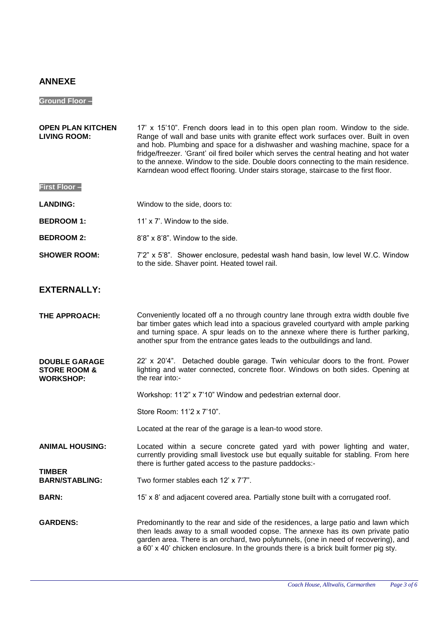# **ANNEXE**

# **Ground Floor –**

| <b>OPEN PLAN KITCHEN</b><br><b>LIVING ROOM:</b>                     | 17' x 15'10". French doors lead in to this open plan room. Window to the side.<br>Range of wall and base units with granite effect work surfaces over. Built in oven<br>and hob. Plumbing and space for a dishwasher and washing machine, space for a<br>fridge/freezer. 'Grant' oil fired boiler which serves the central heating and hot water<br>to the annexe. Window to the side. Double doors connecting to the main residence.<br>Karndean wood effect flooring. Under stairs storage, staircase to the first floor. |
|---------------------------------------------------------------------|-----------------------------------------------------------------------------------------------------------------------------------------------------------------------------------------------------------------------------------------------------------------------------------------------------------------------------------------------------------------------------------------------------------------------------------------------------------------------------------------------------------------------------|
| <b>First Floor-</b>                                                 |                                                                                                                                                                                                                                                                                                                                                                                                                                                                                                                             |
| <b>LANDING:</b>                                                     | Window to the side, doors to:                                                                                                                                                                                                                                                                                                                                                                                                                                                                                               |
| <b>BEDROOM 1:</b>                                                   | 11' x 7'. Window to the side.                                                                                                                                                                                                                                                                                                                                                                                                                                                                                               |
| <b>BEDROOM 2:</b>                                                   | 8'8" x 8'8". Window to the side.                                                                                                                                                                                                                                                                                                                                                                                                                                                                                            |
| <b>SHOWER ROOM:</b>                                                 | 7'2" x 5'8". Shower enclosure, pedestal wash hand basin, low level W.C. Window<br>to the side. Shaver point. Heated towel rail.                                                                                                                                                                                                                                                                                                                                                                                             |
| <b>EXTERNALLY:</b>                                                  |                                                                                                                                                                                                                                                                                                                                                                                                                                                                                                                             |
| THE APPROACH:                                                       | Conveniently located off a no through country lane through extra width double five<br>bar timber gates which lead into a spacious graveled courtyard with ample parking<br>and turning space. A spur leads on to the annexe where there is further parking,<br>another spur from the entrance gates leads to the outbuildings and land.                                                                                                                                                                                     |
| <b>DOUBLE GARAGE</b><br><b>STORE ROOM &amp;</b><br><b>WORKSHOP:</b> | 22' x 20'4". Detached double garage. Twin vehicular doors to the front. Power<br>lighting and water connected, concrete floor. Windows on both sides. Opening at<br>the rear into:-                                                                                                                                                                                                                                                                                                                                         |
|                                                                     | Workshop: 11'2" x 7'10" Window and pedestrian external door.                                                                                                                                                                                                                                                                                                                                                                                                                                                                |
|                                                                     | Store Room: 11'2 x 7'10".                                                                                                                                                                                                                                                                                                                                                                                                                                                                                                   |
|                                                                     | Located at the rear of the garage is a lean-to wood store.                                                                                                                                                                                                                                                                                                                                                                                                                                                                  |
| <b>ANIMAL HOUSING:</b>                                              | Located within a secure concrete gated yard with power lighting and water,<br>currently providing small livestock use but equally suitable for stabling. From here<br>there is further gated access to the pasture paddocks:-                                                                                                                                                                                                                                                                                               |
| <b>TIMBER</b><br><b>BARN/STABLING:</b>                              | Two former stables each 12' x 7'7".                                                                                                                                                                                                                                                                                                                                                                                                                                                                                         |
| <b>BARN:</b>                                                        | 15' x 8' and adjacent covered area. Partially stone built with a corrugated roof.                                                                                                                                                                                                                                                                                                                                                                                                                                           |
| <b>GARDENS:</b>                                                     | Predominantly to the rear and side of the residences, a large patio and lawn which<br>then leads away to a small wooded copse. The annexe has its own private patio<br>garden area. There is an orchard, two polytunnels, (one in need of recovering), and<br>a 60' x 40' chicken enclosure. In the grounds there is a brick built former pig sty.                                                                                                                                                                          |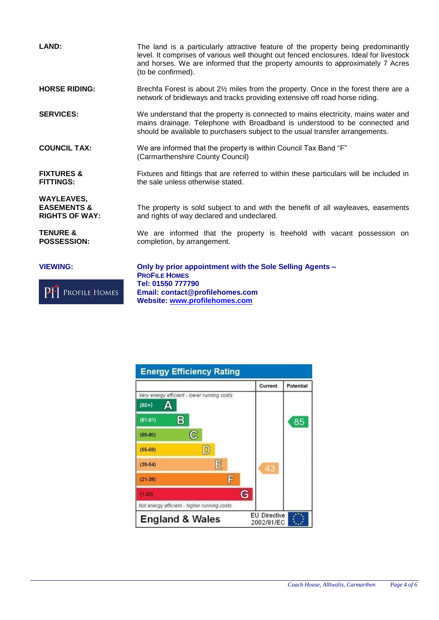| <b>LAND:</b>                                                         | The land is a particularly attractive feature of the property being predominantly<br>level. It comprises of various well thought out fenced enclosures. Ideal for livestock<br>and horses. We are informed that the property amounts to approximately 7 Acres<br>(to be confirmed). |
|----------------------------------------------------------------------|-------------------------------------------------------------------------------------------------------------------------------------------------------------------------------------------------------------------------------------------------------------------------------------|
| <b>HORSE RIDING:</b>                                                 | Brechfa Forest is about 2½ miles from the property. Once in the forest there are a<br>network of bridleways and tracks providing extensive off road horse riding.                                                                                                                   |
| <b>SERVICES:</b>                                                     | We understand that the property is connected to mains electricity, mains water and<br>mains drainage. Telephone with Broadband is understood to be connected and<br>should be available to purchasers subject to the usual transfer arrangements.                                   |
| <b>COUNCIL TAX:</b>                                                  | We are informed that the property is within Council Tax Band "F"<br>(Carmarthenshire County Council)                                                                                                                                                                                |
| <b>FIXTURES &amp;</b><br><b>FITTINGS:</b>                            | Fixtures and fittings that are referred to within these particulars will be included in<br>the sale unless otherwise stated.                                                                                                                                                        |
| <b>WAYLEAVES,</b><br><b>EASEMENTS &amp;</b><br><b>RIGHTS OF WAY:</b> | The property is sold subject to and with the benefit of all wayleaves, easements<br>and rights of way declared and undeclared.                                                                                                                                                      |
| <b>TENURE &amp;</b><br><b>POSSESSION:</b>                            | We are informed that the property is freehold with vacant possession on<br>completion, by arrangement.                                                                                                                                                                              |
| <b>VIEWING:</b><br>PROFILE HOMES                                     | Only by prior appointment with the Sole Selling Agents -<br><b>PROFILE HOMES</b><br>Tel: 01550 777790<br>Email: contact@profilehomes.com                                                                                                                                            |

**Website: [www.profilehomes.com](http://www.profilehomes.com/)**

-11

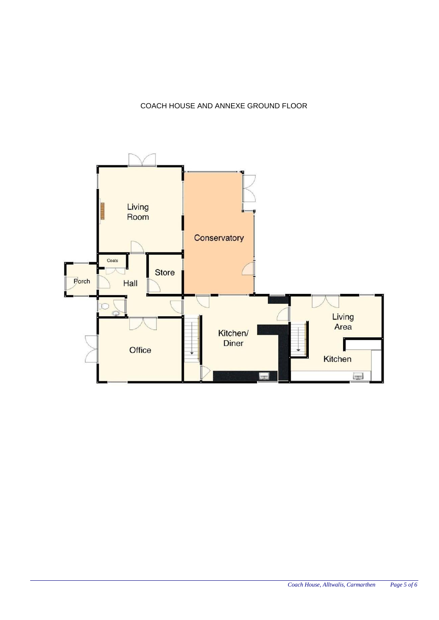# COACH HOUSE AND ANNEXE GROUND FLOOR